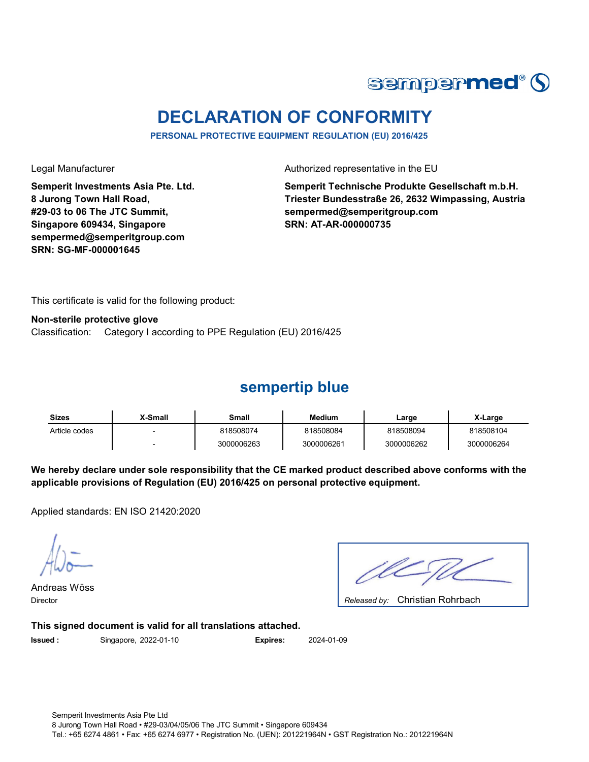

# **DECLARATION OF CONFORMITY**

**PERSONAL PROTECTIVE EQUIPMENT REGULATION (EU) 2016/425**

**Semperit Investments Asia Pte. Ltd. 8 Jurong Town Hall Road, #29-03 to 06 The JTC Summit, Singapore 609434, Singapore sempermed@semperitgroup.com SRN: SG-MF-000001645**

Legal Manufacturer **Authorized representative in the EU** 

**Semperit Technische Produkte Gesellschaft m.b.H. Triester Bundesstraße 26, 2632 Wimpassing, Austria sempermed@semperitgroup.com SRN: AT-AR-000000735**

This certificate is valid for the following product:

**Non-sterile protective glove** Classification: Category I according to PPE Regulation (EU) 2016/425

#### **sempertip blue**

| <b>Sizes</b>  | X-Small | Small      | Medium     | Large      | X-Large    |
|---------------|---------|------------|------------|------------|------------|
| Article codes |         | 818508074  | 818508084  | 818508094  | 818508104  |
|               |         | 3000006263 | 3000006261 | 3000006262 | 3000006264 |

**We hereby declare under sole responsibility that the CE marked product described above conforms with the applicable provisions of Regulation (EU) 2016/425 on personal protective equipment.**

Applied standards: EN ISO 21420:2020

Andreas Wöss

Christian Rohrbach Director *Released by:* 

**This signed document is valid for all translations attached.**

**Issued :** Singapore, 2022-01-10 **Expires:** 2024-01-09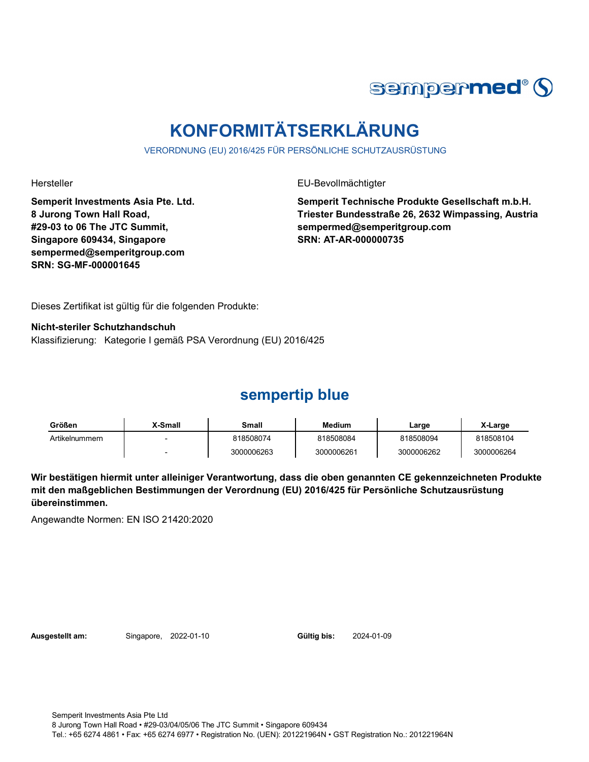

# **KONFORMITÄTSERKLÄRUNG**

VERORDNUNG (EU) 2016/425 FÜR PERSÖNLICHE SCHUTZAUSRÜSTUNG

Hersteller EU-Bevollmächtigter

**Semperit Investments Asia Pte. Ltd. 8 Jurong Town Hall Road, #29-03 to 06 The JTC Summit, Singapore 609434, Singapore sempermed@semperitgroup.com SRN: SG-MF-000001645**

**Semperit Technische Produkte Gesellschaft m.b.H. Triester Bundesstraße 26, 2632 Wimpassing, Austria sempermed@semperitgroup.com SRN: AT-AR-000000735**

Dieses Zertifikat ist gültig für die folgenden Produkte:

**Nicht-steriler Schutzhandschuh** Klassifizierung: Kategorie I gemäß PSA Verordnung (EU) 2016/425

### **sempertip blue**

| Größen         | <b>X-Small</b> | Small      | <b>Medium</b> | Large      | X-Large    |
|----------------|----------------|------------|---------------|------------|------------|
| Artikelnummern |                | 818508074  | 818508084     | 818508094  | 818508104  |
|                |                | 3000006263 | 3000006261    | 3000006262 | 3000006264 |

**Wir bestätigen hiermit unter alleiniger Verantwortung, dass die oben genannten CE gekennzeichneten Produkte mit den maßgeblichen Bestimmungen der Verordnung (EU) 2016/425 für Persönliche Schutzausrüstung übereinstimmen.**

Angewandte Normen: EN ISO 21420:2020

**Ausgestellt am:** Singapore, 2022-01-10 **Gültig bis:** 2024-01-09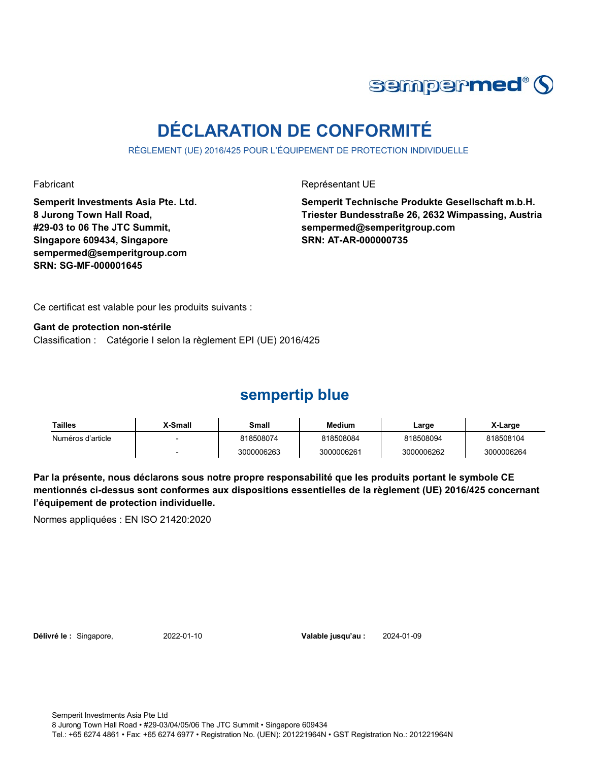

# **DÉCLARATION DE CONFORMITÉ**

RÈGLEMENT (UE) 2016/425 POUR L'ÉQUIPEMENT DE PROTECTION INDIVIDUELLE

**Semperit Investments Asia Pte. Ltd. 8 Jurong Town Hall Road, #29-03 to 06 The JTC Summit, Singapore 609434, Singapore sempermed@semperitgroup.com SRN: SG-MF-000001645**

Fabricant **Représentant UE** 

**Semperit Technische Produkte Gesellschaft m.b.H. Triester Bundesstraße 26, 2632 Wimpassing, Austria sempermed@semperitgroup.com SRN: AT-AR-000000735**

Ce certificat est valable pour les produits suivants :

Classification : Catégorie I selon la règlement EPI (UE) 2016/425 **Gant de protection non-stérile**

### **sempertip blue**

| Tailles           | X-Small | Small      | <b>Medium</b> | Large      | X-Large    |
|-------------------|---------|------------|---------------|------------|------------|
| Numéros d'article |         | 818508074  | 818508084     | 818508094  | 818508104  |
|                   |         | 3000006263 | 3000006261    | 3000006262 | 3000006264 |

**Par la présente, nous déclarons sous notre propre responsabilité que les produits portant le symbole CE mentionnés ci-dessus sont conformes aux dispositions essentielles de la règlement (UE) 2016/425 concernant l'équipement de protection individuelle.**

Normes appliquées : EN ISO 21420:2020

**Délivré le :** Singapore, 2022-01-10 **Valable jusqu'au :** 2024-01-09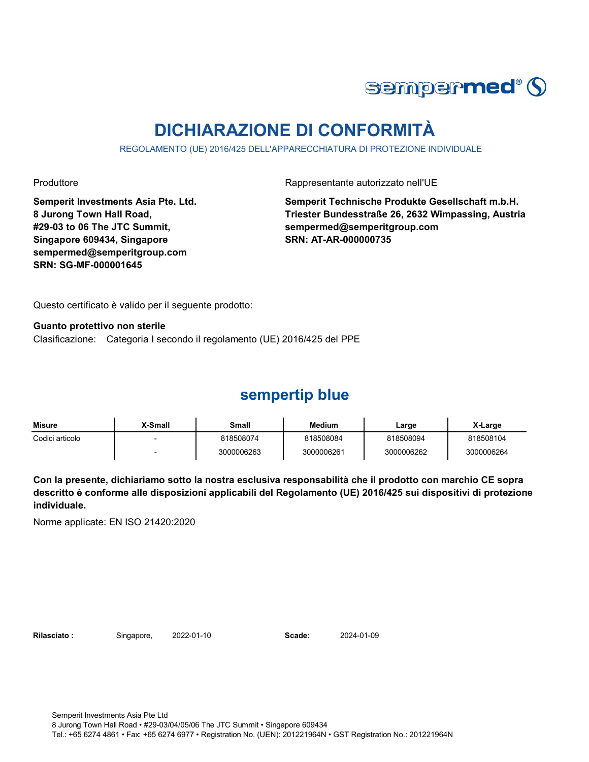

# **DICHIARAZIONE DI CONFORMITÀ**

REGOLAMENTO (UE) 2016/425 DELL'APPARECCHIATURA DI PROTEZIONE INDIVIDUALE

**Semperit Investments Asia Pte. Ltd. 8 Jurong Town Hall Road, #29-03 to 06 The JTC Summit, Singapore 609434, Singapore sempermed@semperitgroup.com SRN: SG-MF-000001645**

Produttore **Rappresentante autorizzato nell'UE** 

**Semperit Technische Produkte Gesellschaft m.b.H. Triester Bundesstraße 26, 2632 Wimpassing, Austria sempermed@semperitgroup.com SRN: AT-AR-000000735**

Questo certificato è valido per il seguente prodotto:

**Guanto protettivo non sterile** Clasificazione: Categoria I secondo il regolamento (UE) 2016/425 del PPE

### **sempertip blue**

| Misure          | <b>X-Small</b> | Small      | <b>Medium</b> | ∟arge      | X-Large    |
|-----------------|----------------|------------|---------------|------------|------------|
| Codici articolo |                | 818508074  | 818508084     | 818508094  | 818508104  |
|                 |                | 3000006263 | 3000006261    | 3000006262 | 3000006264 |

**Con la presente, dichiariamo sotto la nostra esclusiva responsabilità che il prodotto con marchio CE sopra descritto è conforme alle disposizioni applicabili del Regolamento (UE) 2016/425 sui dispositivi di protezione individuale.**

Norme applicate: EN ISO 21420:2020

**Rilasciato :** Singapore, 2022-01-10 **Scade:** 2024-01-09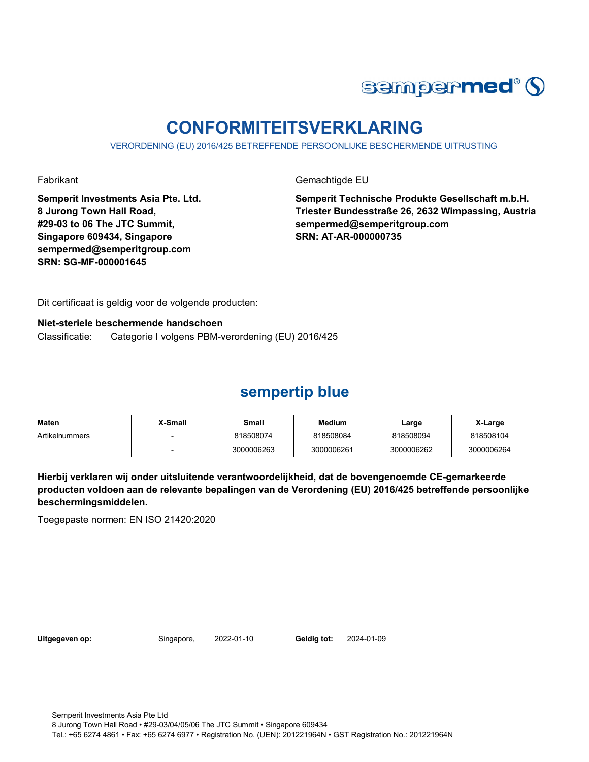

# **CONFORMITEITSVERKLARING**

VERORDENING (EU) 2016/425 BETREFFENDE PERSOONLIJKE BESCHERMENDE UITRUSTING

Fabrikant Gemachtigde EU

**Semperit Investments Asia Pte. Ltd. 8 Jurong Town Hall Road, #29-03 to 06 The JTC Summit, Singapore 609434, Singapore sempermed@semperitgroup.com SRN: SG-MF-000001645**

**Semperit Technische Produkte Gesellschaft m.b.H. Triester Bundesstraße 26, 2632 Wimpassing, Austria sempermed@semperitgroup.com SRN: AT-AR-000000735**

Dit certificaat is geldig voor de volgende producten:

#### **Niet-steriele beschermende handschoen**

Classificatie: Categorie I volgens PBM-verordening (EU) 2016/425

#### **sempertip blue**

| <b>Maten</b>   | X-Small | Small      | Medium     | Large      | X-Large    |
|----------------|---------|------------|------------|------------|------------|
| Artikelnummers |         | 818508074  | 818508084  | 818508094  | 818508104  |
|                |         | 3000006263 | 3000006261 | 3000006262 | 3000006264 |

**Hierbij verklaren wij onder uitsluitende verantwoordelijkheid, dat de bovengenoemde CE-gemarkeerde producten voldoen aan de relevante bepalingen van de Verordening (EU) 2016/425 betreffende persoonlijke beschermingsmiddelen.**

Toegepaste normen: EN ISO 21420:2020

**Uitgegeven op:** Singapore, 2022-01-10 **Geldig tot:** 2024-01-09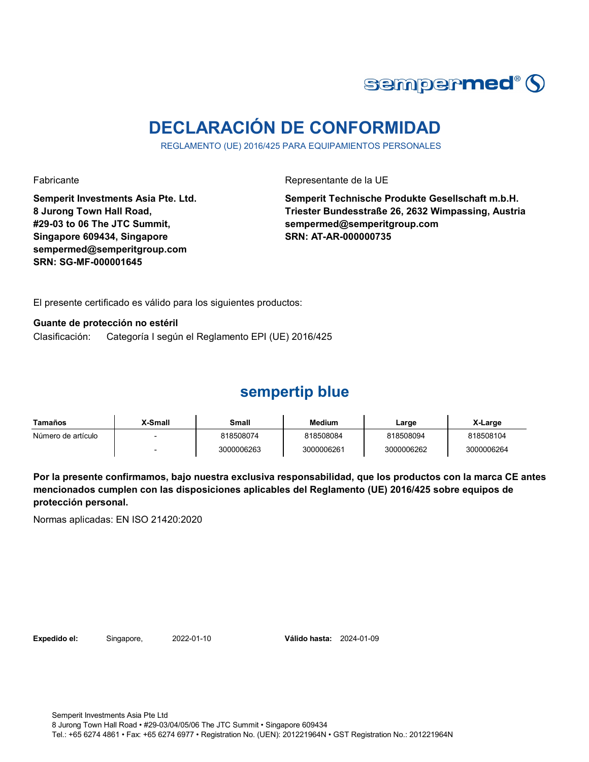

# **DECLARACIÓN DE CONFORMIDAD**

REGLAMENTO (UE) 2016/425 PARA EQUIPAMIENTOS PERSONALES

Fabricante Representante de la UE

**Semperit Investments Asia Pte. Ltd. 8 Jurong Town Hall Road, #29-03 to 06 The JTC Summit, Singapore 609434, Singapore sempermed@semperitgroup.com SRN: SG-MF-000001645**

**Semperit Technische Produkte Gesellschaft m.b.H. Triester Bundesstraße 26, 2632 Wimpassing, Austria sempermed@semperitgroup.com SRN: AT-AR-000000735**

El presente certificado es válido para los siguientes productos:

**Guante de protección no estéril**

Clasificación: Categoría I según el Reglamento EPI (UE) 2016/425

#### **sempertip blue**

| Tamaños            | X-Small | Small      | Medium     | Large      | X-Large    |
|--------------------|---------|------------|------------|------------|------------|
| Número de artículo |         | 818508074  | 818508084  | 818508094  | 818508104  |
|                    |         | 3000006263 | 3000006261 | 3000006262 | 3000006264 |

**Por la presente confirmamos, bajo nuestra exclusiva responsabilidad, que los productos con la marca CE antes mencionados cumplen con las disposiciones aplicables del Reglamento (UE) 2016/425 sobre equipos de protección personal.**

Normas aplicadas: EN ISO 21420:2020

**Expedido el:** Singapore, 2022-01-10 **Válido hasta:** 2024-01-09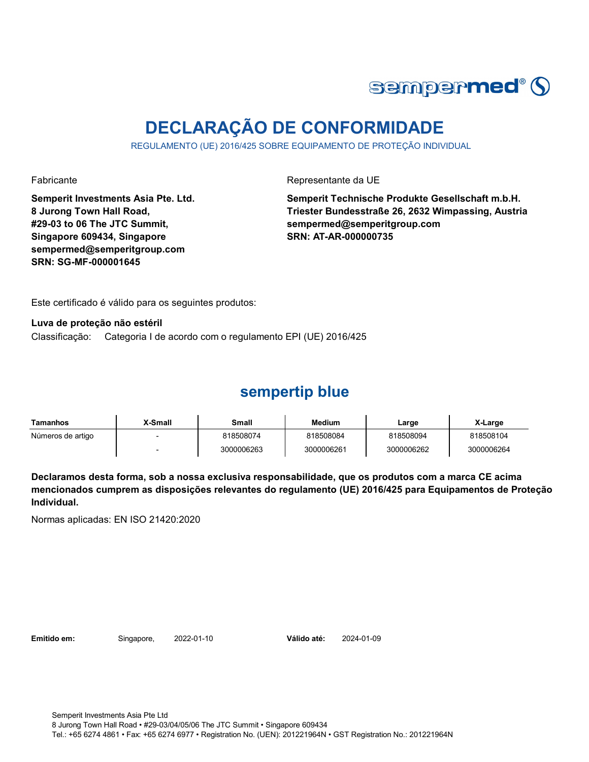

# **DECLARAÇÃO DE CONFORMIDADE**

REGULAMENTO (UE) 2016/425 SOBRE EQUIPAMENTO DE PROTEÇÃO INDIVIDUAL

Fabricante Representante da UE

**Semperit Investments Asia Pte. Ltd. 8 Jurong Town Hall Road, #29-03 to 06 The JTC Summit, Singapore 609434, Singapore sempermed@semperitgroup.com SRN: SG-MF-000001645**

**Semperit Technische Produkte Gesellschaft m.b.H. Triester Bundesstraße 26, 2632 Wimpassing, Austria sempermed@semperitgroup.com SRN: AT-AR-000000735**

Este certificado é válido para os seguintes produtos:

**Luva de proteção não estéril**

Classificação: Categoria I de acordo com o regulamento EPI (UE) 2016/425

### **sempertip blue**

| Tamanhos          | <b>X-Small</b> | Small      | <b>Medium</b> | Large      | X-Large    |
|-------------------|----------------|------------|---------------|------------|------------|
| Números de artigo |                | 818508074  | 818508084     | 818508094  | 818508104  |
|                   |                | 3000006263 | 3000006261    | 3000006262 | 3000006264 |

**Declaramos desta forma, sob a nossa exclusiva responsabilidade, que os produtos com a marca CE acima mencionados cumprem as disposições relevantes do regulamento (UE) 2016/425 para Equipamentos de Proteção Individual.**

Normas aplicadas: EN ISO 21420:2020

**Emitido em:** Singapore, 2022-01-10 **Válido até:** 2024-01-09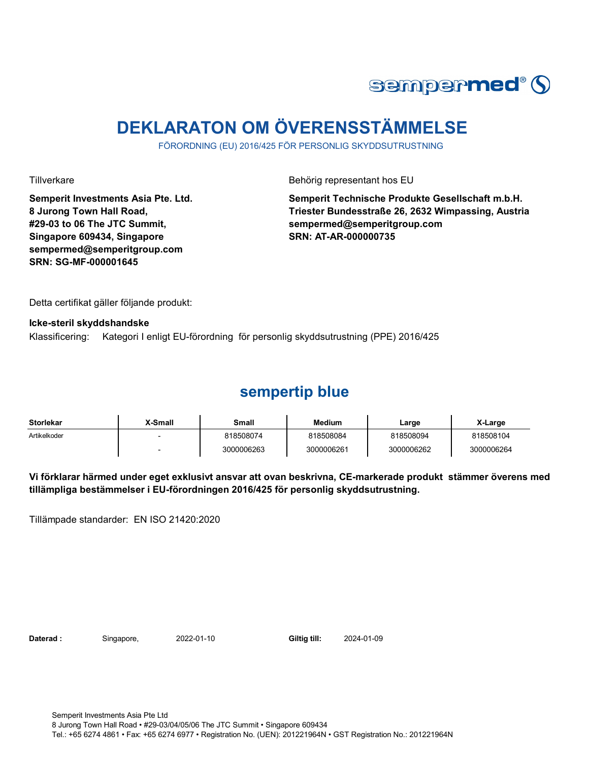

# **DEKLARATON OM ÖVERENSSTÄMMELSE**

FÖRORDNING (EU) 2016/425 FÖR PERSONLIG SKYDDSUTRUSTNING

**Semperit Investments Asia Pte. Ltd. 8 Jurong Town Hall Road, #29-03 to 06 The JTC Summit, Singapore 609434, Singapore sempermed@semperitgroup.com SRN: SG-MF-000001645**

Tillverkare **Behörig representant hos EU** 

**Semperit Technische Produkte Gesellschaft m.b.H. Triester Bundesstraße 26, 2632 Wimpassing, Austria sempermed@semperitgroup.com SRN: AT-AR-000000735**

Detta certifikat gäller följande produkt:

**Icke-steril skyddshandske** 

Klassificering: Kategori I enligt EU-förordning för personlig skyddsutrustning (PPE) 2016/425

#### **sempertip blue**

| <b>Storlekar</b> | X-Small | Small      | <b>Medium</b> | Large      | X-Large    |
|------------------|---------|------------|---------------|------------|------------|
| Artikelkoder     |         | 818508074  | 818508084     | 818508094  | 818508104  |
|                  |         | 3000006263 | 3000006261    | 3000006262 | 3000006264 |

**Vi förklarar härmed under eget exklusivt ansvar att ovan beskrivna, CE-markerade produkt stämmer överens med tillämpliga bestämmelser i EU-förordningen 2016/425 för personlig skyddsutrustning.**

Tillämpade standarder: EN ISO 21420:2020

**Daterad :** Singapore, 2022-01-10 **Giltig till:** 2024-01-09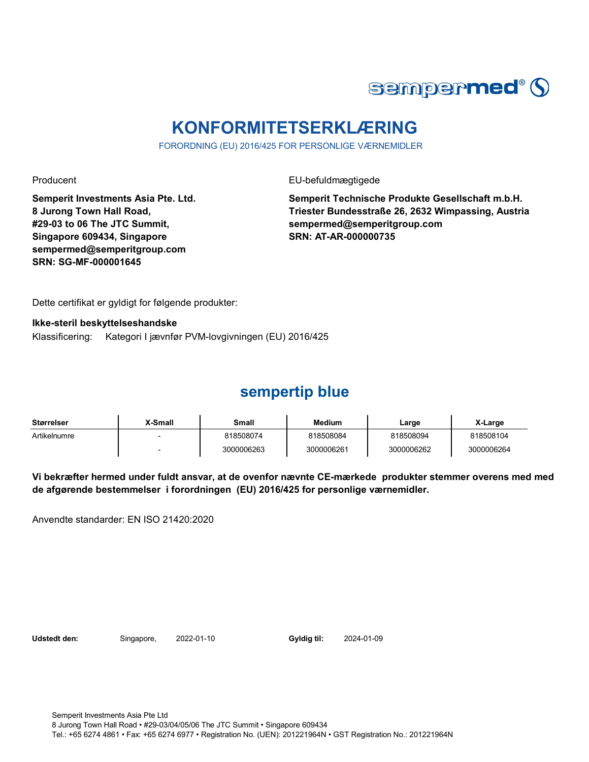

# **KONFORMITETSERKLÆRING**

FORORDNING (EU) 2016/425 FOR PERSONLIGE VÆRNEMIDLER

Producent **EU-befuldmægtigede** 

**Semperit Investments Asia Pte. Ltd. 8 Jurong Town Hall Road, #29-03 to 06 The JTC Summit, Singapore 609434, Singapore sempermed@semperitgroup.com SRN: SG-MF-000001645**

**Semperit Technische Produkte Gesellschaft m.b.H. Triester Bundesstraße 26, 2632 Wimpassing, Austria sempermed@semperitgroup.com SRN: AT-AR-000000735**

Dette certifikat er gyldigt for følgende produkter:

**Ikke-steril beskyttelseshandske**

Klassificering: Kategori I jævnfør PVM-lovgivningen (EU) 2016/425

### **sempertip blue**

| <b>Størrelser</b> | X-Small | Small      | <b>Medium</b> | Large      | X-Large    |
|-------------------|---------|------------|---------------|------------|------------|
| Artikelnumre      |         | 818508074  | 818508084     | 818508094  | 818508104  |
|                   |         | 3000006263 | 3000006261    | 3000006262 | 3000006264 |

**Vi bekræfter hermed under fuldt ansvar, at de ovenfor nævnte CE-mærkede produkter stemmer overens med med de afgørende bestemmelser i forordningen (EU) 2016/425 for personlige værnemidler.** 

Anvendte standarder: EN ISO 21420:2020

**Udstedt den:** Singapore, 2022-01-10 **Gyldig til:** 2024-01-09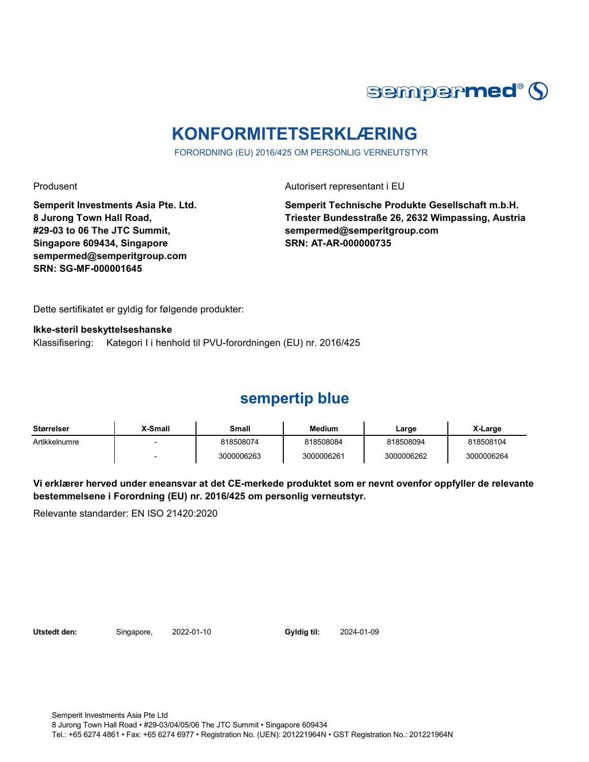

# **KONFORMITETSERKLÆRING**

FORORDNING (EU) 2016/425 OM PERSONLIG VERNEUTSTYR

Produsent Autorisert representant i EU

**Semperit Investments Asia Pte. Ltd. 8 Jurong Town Hall Road, #29-03 to 06 The JTC Summit, Singapore 609434, Singapore sempermed@semperitgroup.com SRN: SG-MF-000001645**

**Semperit Technische Produkte Gesellschaft m.b.H. Triester Bundesstraße 26, 2632 Wimpassing, Austria sempermed@semperitgroup.com SRN: AT-AR-000000735**

Dette sertifikatet er gyldig for følgende produkter:

**Ikke-steril beskyttelseshanske** Klassifisering: Kategori I i henhold til PVU-forordningen (EU) nr. 2016/425

## **sempertip blue**

| Størrelser    | X-Small | Small      | <b>Medium</b> | ∟arge      | X-Large    |
|---------------|---------|------------|---------------|------------|------------|
| Artikkelnumre |         | 818508074  | 818508084     | 818508094  | 818508104  |
|               |         | 3000006263 | 3000006261    | 3000006262 | 3000006264 |

**Vi erklærer herved under eneansvar at det CE-merkede produktet som er nevnt ovenfor oppfyller de relevante bestemmelsene i Forordning (EU) nr. 2016/425 om personlig verneutstyr.**

Relevante standarder: EN ISO 21420:2020

**Utstedt den:** Singapore, 2022-01-10 **Gyldig til:** 2024-01-09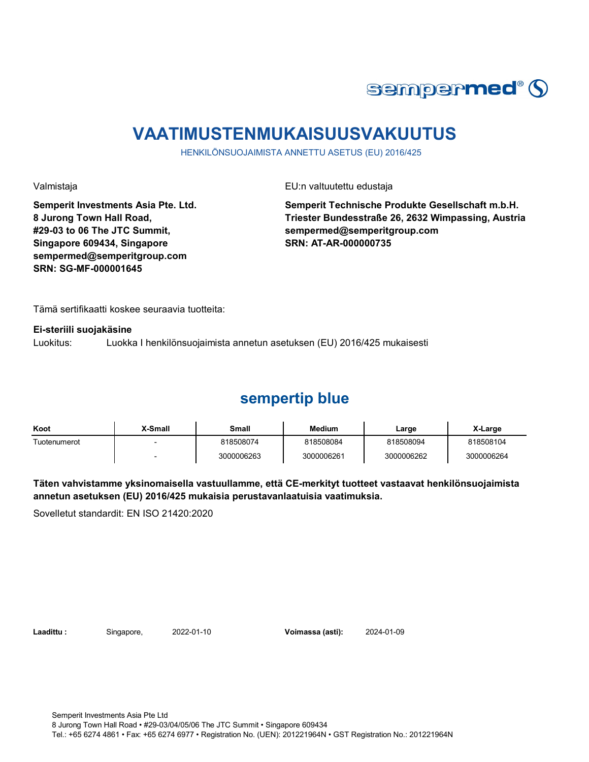

# **VAATIMUSTENMUKAISUUSVAKUUTUS**

HENKILÖNSUOJAIMISTA ANNETTU ASETUS (EU) 2016/425

**Semperit Investments Asia Pte. Ltd. 8 Jurong Town Hall Road, #29-03 to 06 The JTC Summit, Singapore 609434, Singapore sempermed@semperitgroup.com SRN: SG-MF-000001645**

Valmistaja EU:n valtuutettu edustaja

**Semperit Technische Produkte Gesellschaft m.b.H. Triester Bundesstraße 26, 2632 Wimpassing, Austria sempermed@semperitgroup.com SRN: AT-AR-000000735**

Tämä sertifikaatti koskee seuraavia tuotteita:

#### **Ei-steriili suojakäsine**

Luokitus: Luokka I henkilönsuojaimista annetun asetuksen (EU) 2016/425 mukaisesti

#### **sempertip blue**

| Koot         | <b>X-Small</b> | Small      | <b>Medium</b> | Large      | X-Large    |
|--------------|----------------|------------|---------------|------------|------------|
| Tuotenumerot |                | 818508074  | 818508084     | 818508094  | 818508104  |
|              |                | 3000006263 | 3000006261    | 3000006262 | 3000006264 |

#### **Täten vahvistamme yksinomaisella vastuullamme, että CE-merkityt tuotteet vastaavat henkilönsuojaimista annetun asetuksen (EU) 2016/425 mukaisia perustavanlaatuisia vaatimuksia.**

Sovelletut standardit: EN ISO 21420:2020

**Laadittu :** Singapore, 2022-01-10 **Voimassa (asti):** 2024-01-09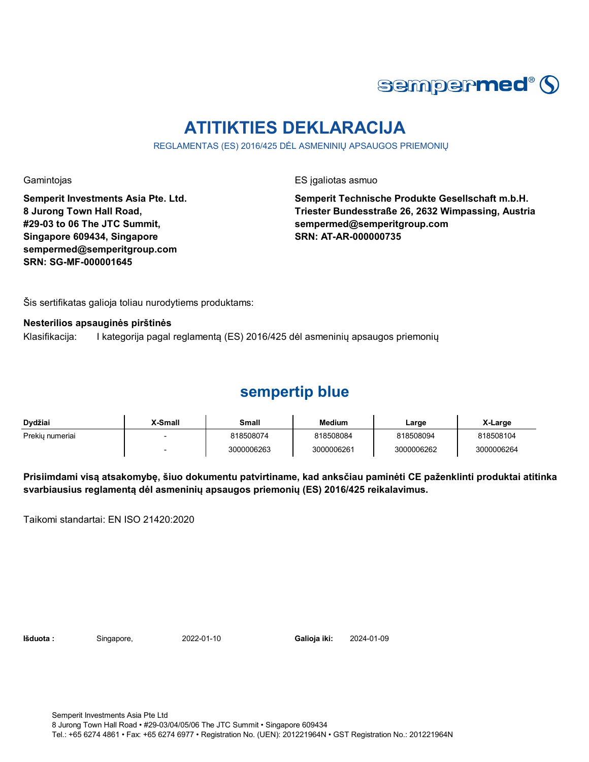

# **ATITIKTIES DEKLARACIJA**

REGLAMENTAS (ES) 2016/425 DĖL ASMENINIŲ APSAUGOS PRIEMONIŲ

**Semperit Investments Asia Pte. Ltd. 8 Jurong Town Hall Road, #29-03 to 06 The JTC Summit, Singapore 609434, Singapore sempermed@semperitgroup.com SRN: SG-MF-000001645**

Gamintojas **ES** įgaliotas asmuo

**Semperit Technische Produkte Gesellschaft m.b.H. Triester Bundesstraße 26, 2632 Wimpassing, Austria sempermed@semperitgroup.com SRN: AT-AR-000000735**

Šis sertifikatas galioja toliau nurodytiems produktams:

#### **Nesterilios apsauginės pirštinės**

Klasifikacija: I kategorija pagal reglamentą (ES) 2016/425 dėl asmeninių apsaugos priemonių

#### **sempertip blue**

| Dvdžiai         | <b>X-Small</b> | Small      | Medium     | Large      | X-Large    |
|-----------------|----------------|------------|------------|------------|------------|
| Prekiu numeriai |                | 818508074  | 818508084  | 818508094  | 818508104  |
|                 |                | 3000006263 | 3000006261 | 3000006262 | 3000006264 |

**Prisiimdami visą atsakomybę, šiuo dokumentu patvirtiname, kad anksčiau paminėti CE paženklinti produktai atitinka svarbiausius reglamentą dėl asmeninių apsaugos priemonių (ES) 2016/425 reikalavimus.**

Taikomi standartai: EN ISO 21420:2020

**Išduota :** Singapore, 2022-01-10 **Galioja iki:** 2024-01-09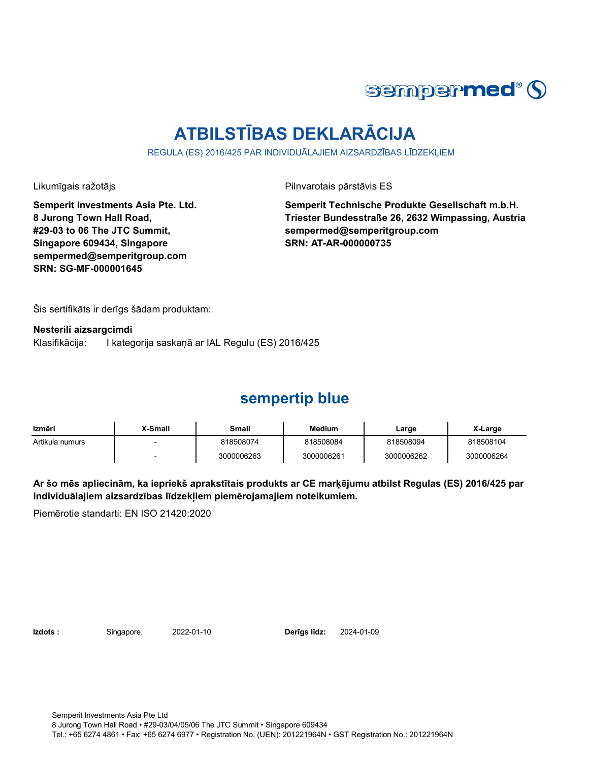

# **ATBILSTĪBAS DEKLARĀCIJA**

REGULA (ES) 2016/425 PAR INDIVIDUĀLAJIEM AIZSARDZĪBAS LĪDZEKLIEM

Likumīgais ražotājs **Pilnvarotais pārstāvis ES** 

**Semperit Investments Asia Pte. Ltd. 8 Jurong Town Hall Road, #29-03 to 06 The JTC Summit, Singapore 609434, Singapore sempermed@semperitgroup.com SRN: SG-MF-000001645**

**Semperit Technische Produkte Gesellschaft m.b.H. Triester Bundesstraße 26, 2632 Wimpassing, Austria sempermed@semperitgroup.com SRN: AT-AR-000000735**

Šis sertifikāts ir derīgs šādam produktam:

**Nesterili aizsargcimdi**

Klasifikācija: I kategorija saskaņā ar IAL Regulu (ES) 2016/425

### **sempertip blue**

| Izmēri          | X-Small                  | Small      | <b>Medium</b> | Large      | X-Large    |
|-----------------|--------------------------|------------|---------------|------------|------------|
| Artikula numurs | $\overline{\phantom{a}}$ | 818508074  | 818508084     | 818508094  | 818508104  |
|                 | -                        | 3000006263 | 3000006261    | 3000006262 | 3000006264 |

**Ar šo mēs apliecinām, ka iepriekš aprakstītais produkts ar CE marķējumu atbilst Regulas (ES) 2016/425 par individuālajiem aizsardzības līdzekļiem piemērojamajiem noteikumiem.**

Piemērotie standarti: EN ISO 21420:2020

**Izdots :** Singapore, 2022-01-10 **Derīgs līdz:** 2024-01-09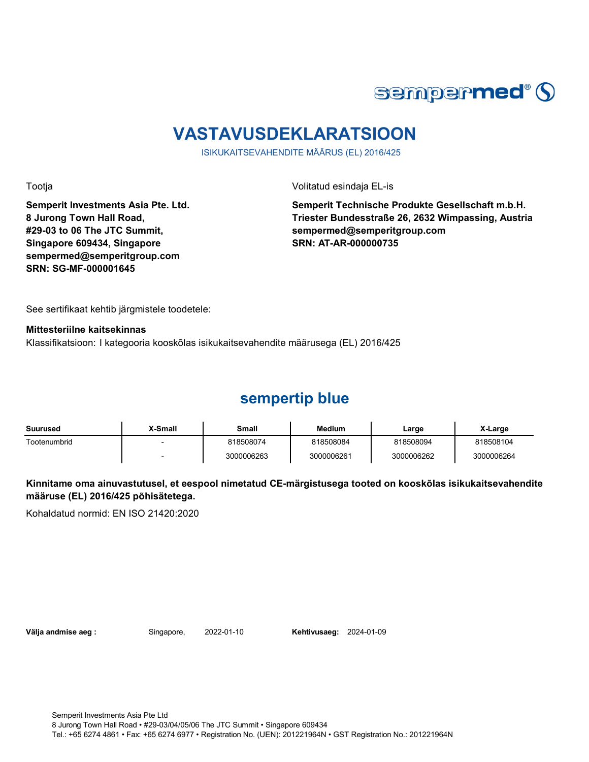

# **VASTAVUSDEKLARATSIOON**

ISIKUKAITSEVAHENDITE MÄÄRUS (EL) 2016/425

Tootja Volitatud esindaja EL-is

**Semperit Investments Asia Pte. Ltd. 8 Jurong Town Hall Road, #29-03 to 06 The JTC Summit, Singapore 609434, Singapore sempermed@semperitgroup.com SRN: SG-MF-000001645**

**Semperit Technische Produkte Gesellschaft m.b.H. Triester Bundesstraße 26, 2632 Wimpassing, Austria sempermed@semperitgroup.com SRN: AT-AR-000000735**

See sertifikaat kehtib järgmistele toodetele:

**Mittesteriilne kaitsekinnas**

Klassifikatsioon: I kategooria kooskõlas isikukaitsevahendite määrusega (EL) 2016/425

### **sempertip blue**

| Suurused     | X-Small                  | Small      | Medium     | Large      | X-Large    |
|--------------|--------------------------|------------|------------|------------|------------|
| Tootenumbrid |                          | 818508074  | 818508084  | 818508094  | 818508104  |
|              | $\overline{\phantom{0}}$ | 3000006263 | 3000006261 | 3000006262 | 3000006264 |

#### **Kinnitame oma ainuvastutusel, et eespool nimetatud CE-märgistusega tooted on kooskõlas isikukaitsevahendite määruse (EL) 2016/425 põhisätetega.**

Kohaldatud normid: EN ISO 21420:2020

**Välja andmise aeg :** Singapore, 2022-01-10 **Kehtivusaeg:** 2024-01-09

Semperit Investments Asia Pte Ltd 8 Jurong Town Hall Road • #29-03/04/05/06 The JTC Summit • Singapore 609434 Tel.: +65 6274 4861 • Fax: +65 6274 6977 • Registration No. (UEN): 201221964N • GST Registration No.: 201221964N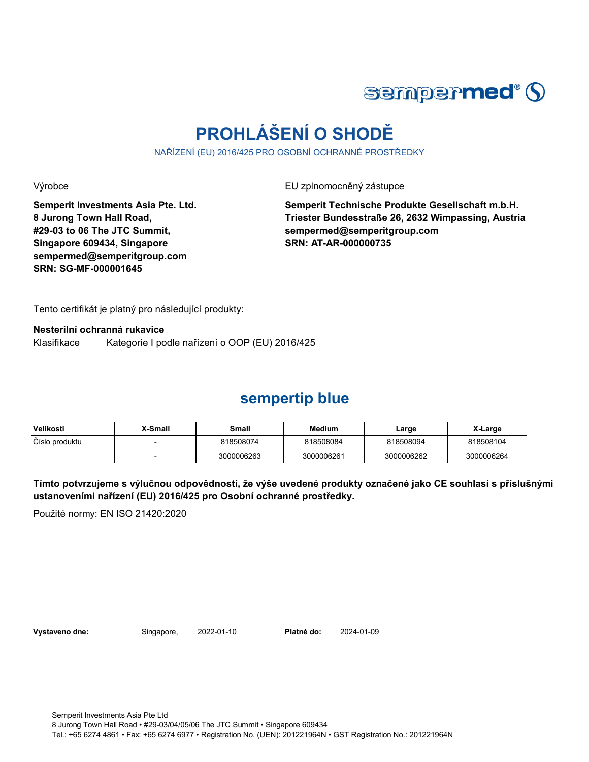

# **PROHLÁŠENÍ O SHODĚ**

NAŘÍZENÍ (EU) 2016/425 PRO OSOBNÍ OCHRANNÉ PROSTŘEDKY

Výrobce EU zplnomocněný zástupce

**Semperit Investments Asia Pte. Ltd. 8 Jurong Town Hall Road, #29-03 to 06 The JTC Summit, Singapore 609434, Singapore sempermed@semperitgroup.com SRN: SG-MF-000001645**

**Semperit Technische Produkte Gesellschaft m.b.H. Triester Bundesstraße 26, 2632 Wimpassing, Austria sempermed@semperitgroup.com SRN: AT-AR-000000735**

Tento certifikát je platný pro následující produkty:

**Nesterilní ochranná rukavice**

Klasifikace Kategorie I podle nařízení o OOP (EU) 2016/425

### **sempertip blue**

| Velikosti      | X-Small | Small      | <b>Medium</b> | ∟arge      | X-Large    |
|----------------|---------|------------|---------------|------------|------------|
| Číslo produktu |         | 818508074  | 818508084     | 818508094  | 818508104  |
|                |         | 3000006263 | 3000006261    | 3000006262 | 3000006264 |

**Tímto potvrzujeme s výlučnou odpovědností, že výše uvedené produkty označené jako CE souhlasí s příslušnými ustanoveními nařízení (EU) 2016/425 pro Osobní ochranné prostředky.**

Použité normy: EN ISO 21420:2020

**Vystaveno dne:** Singapore, 2022-01-10 **Platné do:** 2024-01-09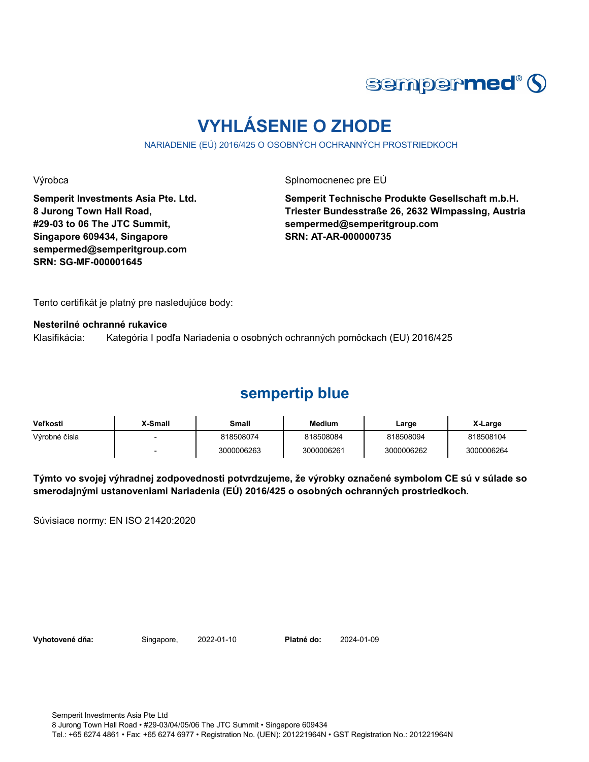

# **VYHLÁSENIE O ZHODE**

NARIADENIE (EÚ) 2016/425 O OSOBNÝCH OCHRANNÝCH PROSTRIEDKOCH

Výrobca Splnomocnenec pre EÚ

**Semperit Investments Asia Pte. Ltd. 8 Jurong Town Hall Road, #29-03 to 06 The JTC Summit, Singapore 609434, Singapore sempermed@semperitgroup.com SRN: SG-MF-000001645**

**Semperit Technische Produkte Gesellschaft m.b.H. Triester Bundesstraße 26, 2632 Wimpassing, Austria sempermed@semperitgroup.com SRN: AT-AR-000000735**

Tento certifikát je platný pre nasledujúce body:

#### **Nesterilné ochranné rukavice**

Klasifikácia: Kategória I podľa Nariadenia o osobných ochranných pomôckach (EU) 2016/425

#### **sempertip blue**

| <b>Veľkosti</b> | X-Small | Small      | <b>Medium</b> | Large      | X-Large    |
|-----------------|---------|------------|---------------|------------|------------|
| Výrobné čísla   |         | 818508074  | 818508084     | 818508094  | 818508104  |
|                 |         | 3000006263 | 3000006261    | 3000006262 | 3000006264 |

**Týmto vo svojej výhradnej zodpovednosti potvrdzujeme, že výrobky označené symbolom CE sú v súlade so smerodajnými ustanoveniami Nariadenia (EÚ) 2016/425 o osobných ochranných prostriedkoch.**

Súvisiace normy: EN ISO 21420:2020

**Vyhotovené dňa:** Singapore, 2022-01-10 **Platné do:** 2024-01-09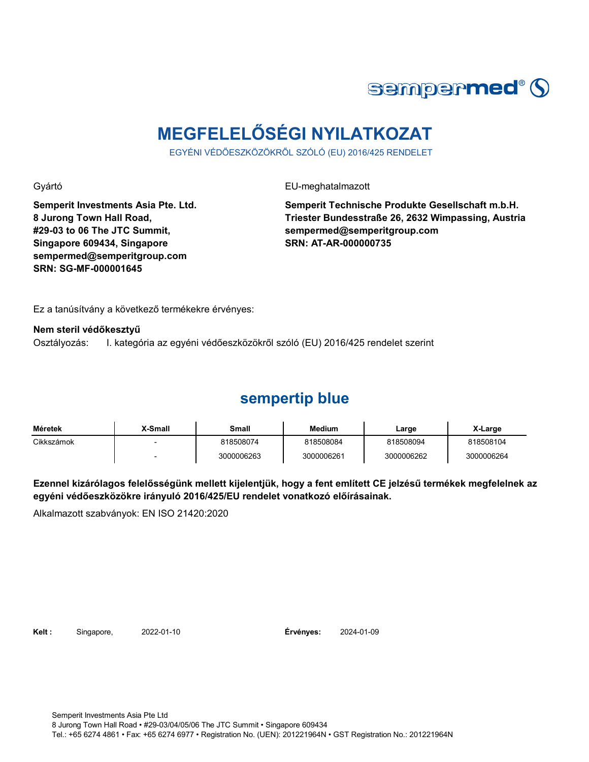

# **MEGFELELŐSÉGI NYILATKOZAT**

EGYÉNI VÉDŐESZKÖZÖKRŐL SZÓLÓ (EU) 2016/425 RENDELET

Gyártó EU-meghatalmazott

**Semperit Investments Asia Pte. Ltd. 8 Jurong Town Hall Road, #29-03 to 06 The JTC Summit, Singapore 609434, Singapore sempermed@semperitgroup.com SRN: SG-MF-000001645**

**Semperit Technische Produkte Gesellschaft m.b.H. Triester Bundesstraße 26, 2632 Wimpassing, Austria sempermed@semperitgroup.com SRN: AT-AR-000000735**

Ez a tanúsítvány a következő termékekre érvényes:

**Nem steril védőkesztyű**

Osztályozás: I. kategória az egyéni védőeszközökről szóló (EU) 2016/425 rendelet szerint

### **sempertip blue**

| Méretek    | X-Small | Small      | <b>Medium</b> | ∟arge      | X-Large    |
|------------|---------|------------|---------------|------------|------------|
| Cikkszámok |         | 818508074  | 818508084     | 818508094  | 818508104  |
|            |         | 3000006263 | 3000006261    | 3000006262 | 3000006264 |

**Ezennel kizárólagos felelősségünk mellett kijelentjük, hogy a fent említett CE jelzésű termékek megfelelnek az egyéni védőeszközökre irányuló 2016/425/EU rendelet vonatkozó előírásainak.**

Alkalmazott szabványok: EN ISO 21420:2020

**Kelt :** Singapore, 2022-01-10 **Érvényes:** 2024-01-09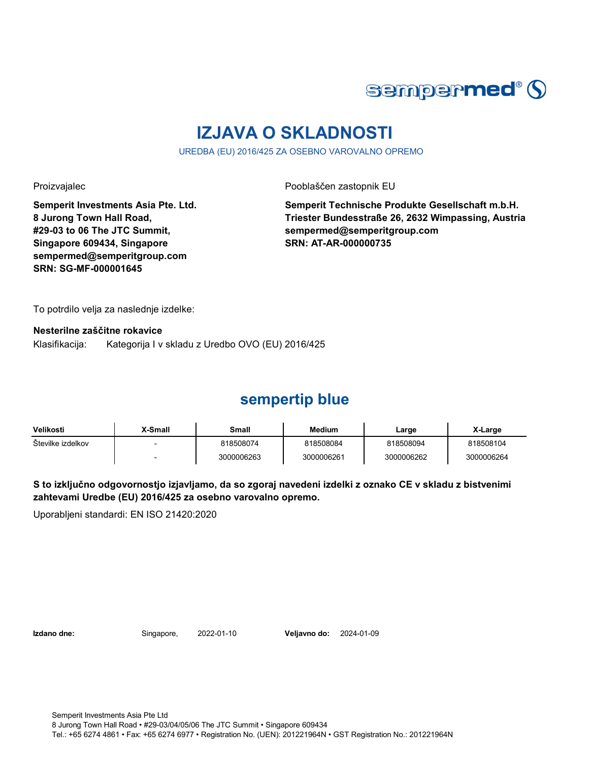

# **IZJAVA O SKLADNOSTI**

UREDBA (EU) 2016/425 ZA OSEBNO VAROVALNO OPREMO

Proizvajalec Pooblaščen zastopnik EU

**Semperit Investments Asia Pte. Ltd. 8 Jurong Town Hall Road, #29-03 to 06 The JTC Summit, Singapore 609434, Singapore sempermed@semperitgroup.com SRN: SG-MF-000001645**

**Semperit Technische Produkte Gesellschaft m.b.H. Triester Bundesstraße 26, 2632 Wimpassing, Austria sempermed@semperitgroup.com SRN: AT-AR-000000735**

To potrdilo velja za naslednje izdelke:

**Nesterilne zaščitne rokavice**

Klasifikacija: Kategorija I v skladu z Uredbo OVO (EU) 2016/425

### **sempertip blue**

| Velikosti         | X-Small | Small      | Medium     | Large      | X-Large    |
|-------------------|---------|------------|------------|------------|------------|
| Stevilke izdelkov |         | 818508074  | 818508084  | 818508094  | 818508104  |
|                   |         | 3000006263 | 3000006261 | 3000006262 | 3000006264 |

**S to izključno odgovornostjo izjavljamo, da so zgoraj navedeni izdelki z oznako CE v skladu z bistvenimi zahtevami Uredbe (EU) 2016/425 za osebno varovalno opremo.**

Uporabljeni standardi: EN ISO 21420:2020

**Izdano dne:** Singapore, 2022-01-10 **Veljavno do:** 2024-01-09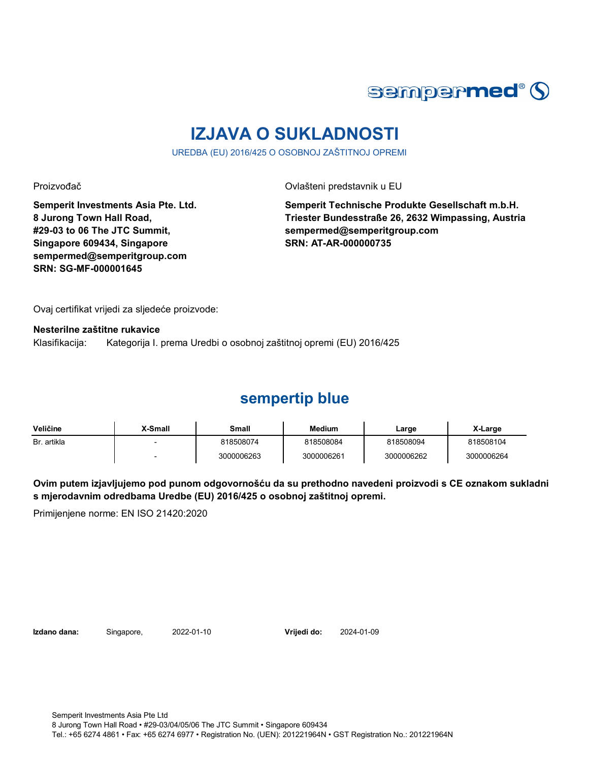

# **IZJAVA O SUKLADNOSTI**

UREDBA (EU) 2016/425 O OSOBNOJ ZAŠTITNOJ OPREMI

Proizvođač **Ovlašteni predstavnik u EU** 

**Semperit Investments Asia Pte. Ltd. 8 Jurong Town Hall Road, #29-03 to 06 The JTC Summit, Singapore 609434, Singapore sempermed@semperitgroup.com SRN: SG-MF-000001645**

**Semperit Technische Produkte Gesellschaft m.b.H. Triester Bundesstraße 26, 2632 Wimpassing, Austria sempermed@semperitgroup.com SRN: AT-AR-000000735**

Ovaj certifikat vrijedi za sljedeće proizvode:

**Nesterilne zaštitne rukavice**

Klasifikacija: Kategorija I. prema Uredbi o osobnoj zaštitnoj opremi (EU) 2016/425

#### **sempertip blue**

| Veličine    | X-Small | Small      | <b>Medium</b> | Large      | X-Large    |
|-------------|---------|------------|---------------|------------|------------|
| Br. artikla |         | 818508074  | 818508084     | 818508094  | 818508104  |
|             |         | 3000006263 | 3000006261    | 3000006262 | 3000006264 |

**Ovim putem izjavljujemo pod punom odgovornošću da su prethodno navedeni proizvodi s CE oznakom sukladni s mjerodavnim odredbama Uredbe (EU) 2016/425 o osobnoj zaštitnoj opremi.**

Primijenjene norme: EN ISO 21420:2020

**Izdano dana:** Singapore, 2022-01-10 **Vrijedi do:** 2024-01-09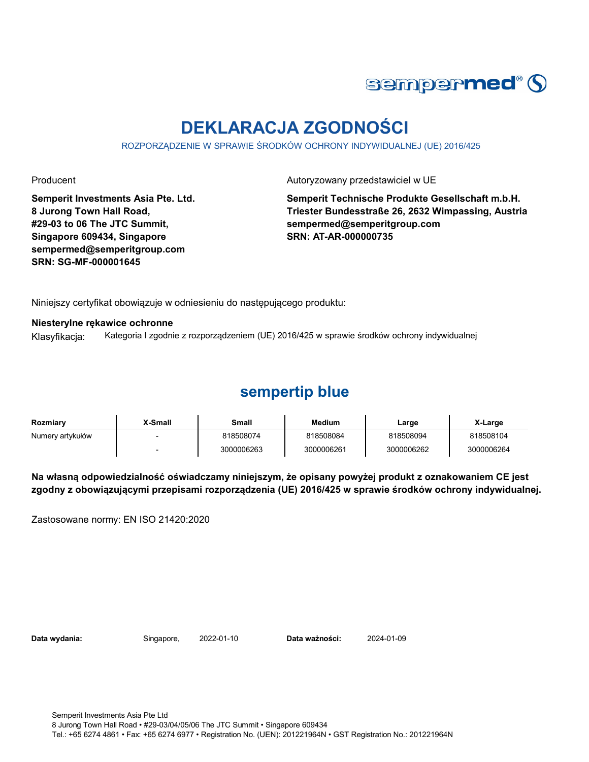

# **DEKLARACJA ZGODNOŚCI**

ROZPORZĄDZENIE W SPRAWIE ŚRODKÓW OCHRONY INDYWIDUALNEJ (UE) 2016/425

**Semperit Investments Asia Pte. Ltd. 8 Jurong Town Hall Road, #29-03 to 06 The JTC Summit, Singapore 609434, Singapore sempermed@semperitgroup.com SRN: SG-MF-000001645**

Producent **Autoryzowany przedstawiciel w UE** 

**Semperit Technische Produkte Gesellschaft m.b.H. Triester Bundesstraße 26, 2632 Wimpassing, Austria sempermed@semperitgroup.com SRN: AT-AR-000000735**

Niniejszy certyfikat obowiązuje w odniesieniu do następującego produktu:

#### **Niesterylne rękawice ochronne**

Klasyfikacja: Kategoria I zgodnie z rozporządzeniem (UE) 2016/425 w sprawie środków ochrony indywidualnej

#### **sempertip blue**

| Rozmiarv         | X-Small | Small      | <b>Medium</b> | Large      | X-Large    |
|------------------|---------|------------|---------------|------------|------------|
| Numery artykułów |         | 818508074  | 818508084     | 818508094  | 818508104  |
|                  |         | 3000006263 | 3000006261    | 3000006262 | 3000006264 |

**Na własną odpowiedzialność oświadczamy niniejszym, że opisany powyżej produkt z oznakowaniem CE jest zgodny z obowiązującymi przepisami rozporządzenia (UE) 2016/425 w sprawie środków ochrony indywidualnej.**

Zastosowane normy: EN ISO 21420:2020

**Data wydania:** Singapore, 2022-01-10 **Data ważności:** 2024-01-09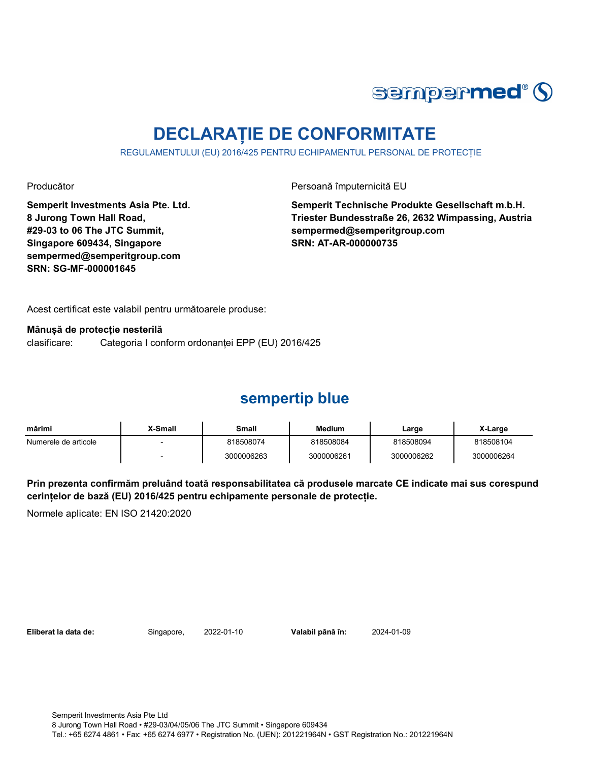

# **DECLARAȚIE DE CONFORMITATE**

REGULAMENTULUI (EU) 2016/425 PENTRU ECHIPAMENTUL PERSONAL DE PROTECȚIE

**Semperit Investments Asia Pte. Ltd. 8 Jurong Town Hall Road, #29-03 to 06 The JTC Summit, Singapore 609434, Singapore sempermed@semperitgroup.com SRN: SG-MF-000001645**

Producător **Producător** Persoană împuternicită EU

**Semperit Technische Produkte Gesellschaft m.b.H. Triester Bundesstraße 26, 2632 Wimpassing, Austria sempermed@semperitgroup.com SRN: AT-AR-000000735**

Acest certificat este valabil pentru următoarele produse:

**Mânușă de protecție nesterilă**

clasificare: Categoria I conform ordonanței EPP (EU) 2016/425

### **sempertip blue**

| mărimi               | X-Small | Small      | <b>Medium</b> | Large      | X-Large    |
|----------------------|---------|------------|---------------|------------|------------|
| Numerele de articole |         | 818508074  | 818508084     | 818508094  | 818508104  |
|                      |         | 3000006263 | 3000006261    | 3000006262 | 3000006264 |

**Prin prezenta confirmăm preluând toată responsabilitatea că produsele marcate CE indicate mai sus corespund cerințelor de bază (EU) 2016/425 pentru echipamente personale de protecție.**

Normele aplicate: EN ISO 21420:2020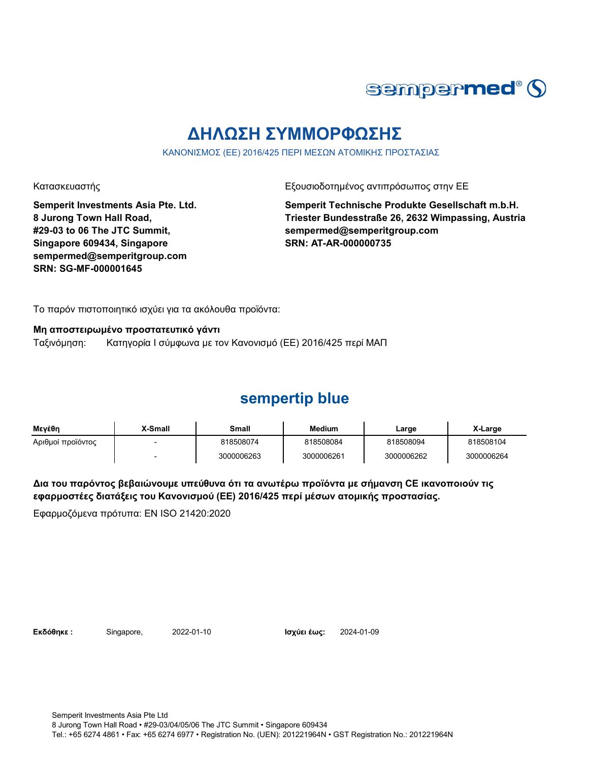

# **ΔΗΛΩΣΗ ΣΥΜΜΟΡΦΩΣΗΣ**

ΚΑΝΟΝΙΣΜΟΣ (ΕΕ) 2016/425 ΠΕΡΙ ΜΕΣΩΝ ΑΤΟΜΙΚΗΣ ΠΡΟΣΤΑΣΙΑΣ

Κατασκευαστής Εξουσιοδοτημένος αντιπρόσωπος στην ΕΕ

**Semperit Investments Asia Pte. Ltd. 8 Jurong Town Hall Road, #29-03 to 06 The JTC Summit, Singapore 609434, Singapore sempermed@semperitgroup.com SRN: SG-MF-000001645**

**Semperit Technische Produkte Gesellschaft m.b.H. Triester Bundesstraße 26, 2632 Wimpassing, Austria sempermed@semperitgroup.com SRN: AT-AR-000000735**

Το παρόν πιστοποιητικό ισχύει για τα ακόλουθα προϊόντα:

**Μη αποστειρωμένο προστατευτικό γάντι**

Ταξινόμηση: Κατηγορία I σύμφωνα με τον Κανονισμό (ΕΕ) 2016/425 περί ΜΑΠ

### **sempertip blue**

| Μενέθη            | X-Small | Small      | <b>Medium</b> | Large      | X-Large    |
|-------------------|---------|------------|---------------|------------|------------|
| Αριθμοί προϊόντος |         | 818508074  | 818508084     | 818508094  | 818508104  |
|                   |         | 3000006263 | 3000006261    | 3000006262 | 3000006264 |

**Δια του παρόντος βεβαιώνουμε υπεύθυνα ότι τα ανωτέρω προϊόντα με σήμανση CE ικανοποιούν τις εφαρμοστέες διατάξεις του Κανονισμού (ΕΕ) 2016/425 περί μέσων ατομικής προστασίας.**

Εφαρμοζόμενα πρότυπα: EN ISO 21420:2020

**Εκδόθηκε :** Singapore, 2022-01-10 **Ισχύει έως:** 2024-01-09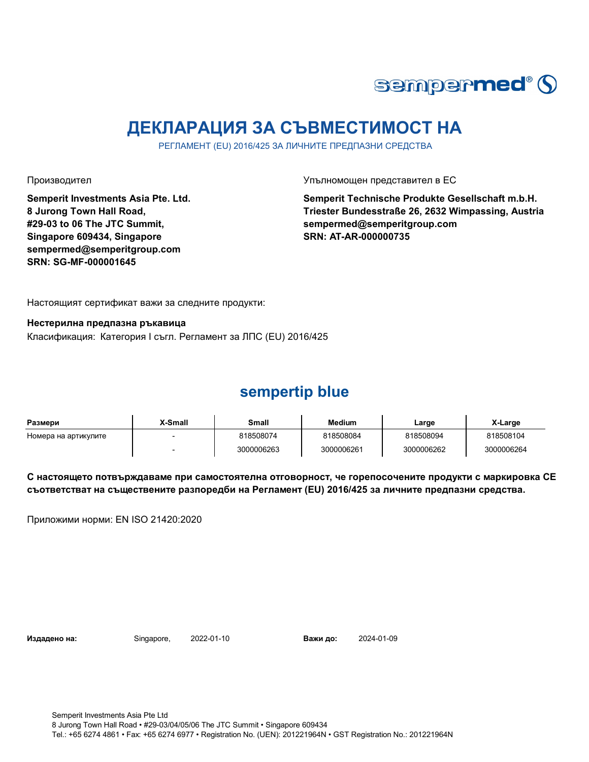

# **ДЕКЛАРАЦИЯ ЗА СЪВМЕСТИМОСТ НА**

РЕГЛАМЕНТ (EU) 2016/425 ЗА ЛИЧНИТЕ ПРЕДПАЗНИ СРЕДСТВА

**Semperit Investments Asia Pte. Ltd. 8 Jurong Town Hall Road, #29-03 to 06 The JTC Summit, Singapore 609434, Singapore sempermed@semperitgroup.com SRN: SG-MF-000001645**

Производител Упълномощен представител в ЕС

**Semperit Technische Produkte Gesellschaft m.b.H. Triester Bundesstraße 26, 2632 Wimpassing, Austria sempermed@semperitgroup.com SRN: AT-AR-000000735**

Настоящият сертификат важи за следните продукти:

**Нестерилна предпазна ръкавица**

Класификация: Категория I съгл. Регламент за ЛПС (EU) 2016/425

#### **sempertip blue**

| Размери              | X-Small | Small      | <b>Medium</b> | Large      | X-Large    |
|----------------------|---------|------------|---------------|------------|------------|
| Номера на артикулите |         | 818508074  | 818508084     | 818508094  | 818508104  |
|                      |         | 3000006263 | 3000006261    | 3000006262 | 3000006264 |

**С настоящето потвърждаваме при самостоятелна отговорност, че горепосочените продукти с маркировка СЕ съответстват на съществените разпоредби на Регламент (EU) 2016/425 за личните предпазни средства.**

Приложими норми: EN ISO 21420:2020

**Издадено на:** Singapore, 2022-01-10 **Важи до:** 2024-01-09